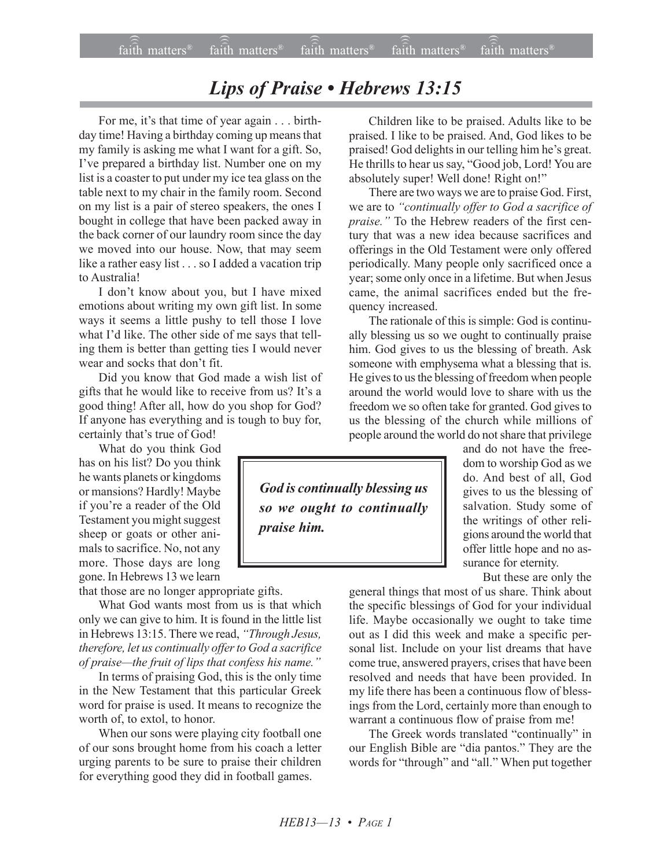## Lips of Praise • Hebrews 13:15

For me, it's that time of year again . . . birthday time! Having a birthday coming up means that my family is asking me what I want for a gift. So, I've prepared a birthday list. Number one on my list is a coaster to put under my ice tea glass on the table next to my chair in the family room. Second on my list is a pair of stereo speakers, the ones I bought in college that have been packed away in the back corner of our laundry room since the day we moved into our house. Now, that may seem like a rather easy list . . . so I added a vacation trip to Australia!

I don't know about you, but I have mixed emotions about writing my own gift list. In some ways it seems a little pushy to tell those I love what I'd like. The other side of me says that telling them is better than getting ties I would never wear and socks that don't fit.

Did you know that God made a wish list of gifts that he would like to receive from us? It's a good thing! After all, how do you shop for God? If anyone has everything and is tough to buy for, certainly that's true of God!

What do you think God has on his list? Do you think he wants planets or kingdoms or mansions? Hardly! Maybe if you're a reader of the Old Testament you might suggest sheep or goats or other animals to sacrifice. No, not any more. Those days are long gone. In Hebrews 13 we learn

that those are no longer appropriate gifts.

What God wants most from us is that which only we can give to him. It is found in the little list in Hebrews 13:15. There we read, "Through Jesus, *therefore, let us continually offer to God a sacrifice of praise*—the fruit of lips that confess his name."

In terms of praising God, this is the only time in the New Testament that this particular Greek word for praise is used. It means to recognize the worth of, to extol, to honor.

When our sons were playing city football one of our sons brought home from his coach a letter urging parents to be sure to praise their children for everything good they did in football games.

Children like to be praised. Adults like to be praised. I like to be praised. And, God likes to be praised! God delights in our telling him he's great. He thrills to hear us say, "Good job, Lord! You are absolutely super! Well done! Right on!"

There are two ways we are to praise God. First, we are to *ìcontinually offer to God a sacrifice of* praise." To the Hebrew readers of the first century that was a new idea because sacrifices and offerings in the Old Testament were only offered periodically. Many people only sacrificed once a year; some only once in a lifetime. But when Jesus came, the animal sacrifices ended but the frequency increased.

The rationale of this is simple: God is continually blessing us so we ought to continually praise him. God gives to us the blessing of breath. Ask someone with emphysema what a blessing that is. He gives to us the blessing of freedom when people around the world would love to share with us the freedom we so often take for granted. God gives to us the blessing of the church while millions of people around the world do not share that privilege

*God is continually blessing us so we ought to continually praise him.*

and do not have the freedom to worship God as we do. And best of all, God gives to us the blessing of salvation. Study some of the writings of other religions around the world that offer little hope and no assurance for eternity.

But these are only the

general things that most of us share. Think about the specific blessings of God for your individual life. Maybe occasionally we ought to take time out as I did this week and make a specific personal list. Include on your list dreams that have come true, answered prayers, crises that have been resolved and needs that have been provided. In my life there has been a continuous flow of blessings from the Lord, certainly more than enough to warrant a continuous flow of praise from me!

The Greek words translated "continually" in our English Bible are "dia pantos." They are the words for "through" and "all." When put together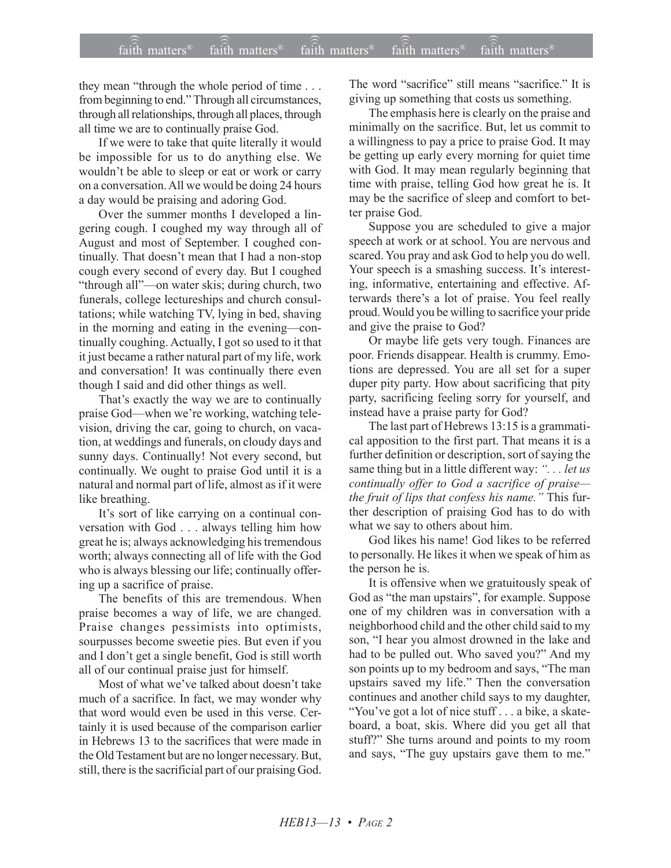they mean "through the whole period of time  $\ldots$ from beginning to end." Through all circumstances, through all relationships, through all places, through all time we are to continually praise God.

If we were to take that quite literally it would be impossible for us to do anything else. We wouldn't be able to sleep or eat or work or carry on a conversation. All we would be doing 24 hours a day would be praising and adoring God.

Over the summer months I developed a lingering cough. I coughed my way through all of August and most of September. I coughed continually. That doesn't mean that I had a non-stop cough every second of every day. But I coughed "through all"—on water skis; during church, two funerals, college lectureships and church consultations; while watching TV, lying in bed, shaving in the morning and eating in the evening—continually coughing. Actually, I got so used to it that it just became a rather natural part of my life, work and conversation! It was continually there even though I said and did other things as well.

That's exactly the way we are to continually praise God—when we're working, watching television, driving the car, going to church, on vacation, at weddings and funerals, on cloudy days and sunny days. Continually! Not every second, but continually. We ought to praise God until it is a natural and normal part of life, almost as if it were like breathing.

It's sort of like carrying on a continual conversation with God . . . always telling him how great he is; always acknowledging his tremendous worth; always connecting all of life with the God who is always blessing our life; continually offering up a sacrifice of praise.

The benefits of this are tremendous. When praise becomes a way of life, we are changed. Praise changes pessimists into optimists, sourpusses become sweetie pies. But even if you and I don't get a single benefit, God is still worth all of our continual praise just for himself.

Most of what we've talked about doesn't take much of a sacrifice. In fact, we may wonder why that word would even be used in this verse. Certainly it is used because of the comparison earlier in Hebrews 13 to the sacrifices that were made in the Old Testament but are no longer necessary. But, still, there is the sacrificial part of our praising God. The word "sacrifice" still means "sacrifice." It is giving up something that costs us something.

The emphasis here is clearly on the praise and minimally on the sacrifice. But, let us commit to a willingness to pay a price to praise God. It may be getting up early every morning for quiet time with God. It may mean regularly beginning that time with praise, telling God how great he is. It may be the sacrifice of sleep and comfort to better praise God.

Suppose you are scheduled to give a major speech at work or at school. You are nervous and scared. You pray and ask God to help you do well. Your speech is a smashing success. It's interesting, informative, entertaining and effective. Afterwards there's a lot of praise. You feel really proud. Would you be willing to sacrifice your pride and give the praise to God?

Or maybe life gets very tough. Finances are poor. Friends disappear. Health is crummy. Emotions are depressed. You are all set for a super duper pity party. How about sacrificing that pity party, sacrificing feeling sorry for yourself, and instead have a praise party for God?

The last part of Hebrews 13:15 is a grammatical apposition to the first part. That means it is a further definition or description, sort of saying the same thing but in a little different way: "... *let us continually offer to God a sacrifice of praise*the fruit of lips that confess his name.<sup>"</sup> This further description of praising God has to do with what we say to others about him.

God likes his name! God likes to be referred to personally. He likes it when we speak of him as the person he is.

It is offensive when we gratuitously speak of God as "the man upstairs", for example. Suppose one of my children was in conversation with a neighborhood child and the other child said to my son, "I hear you almost drowned in the lake and had to be pulled out. Who saved you?" And my son points up to my bedroom and says, "The man upstairs saved my life." Then the conversation continues and another child says to my daughter, "You've got a lot of nice stuff . . . a bike, a skateboard, a boat, skis. Where did you get all that stuff?" She turns around and points to my room and says, "The guy upstairs gave them to me."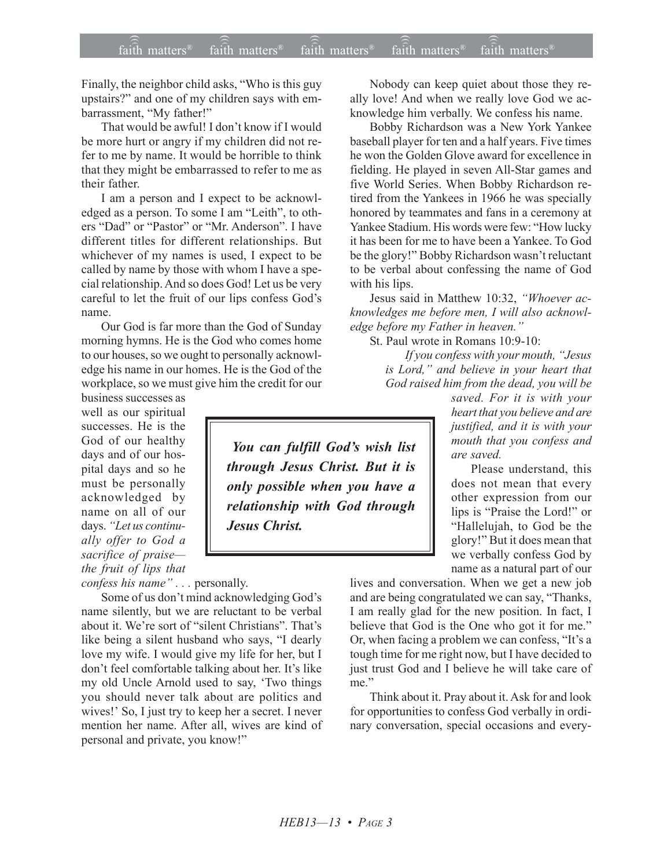Finally, the neighbor child asks, "Who is this guy upstairs?" and one of my children says with embarrassment, "My father!"

That would be awful! I don't know if I would be more hurt or angry if my children did not refer to me by name. It would be horrible to think that they might be embarrassed to refer to me as their father.

I am a person and I expect to be acknowledged as a person. To some I am "Leith", to others "Dad" or "Pastor" or "Mr. Anderson". I have different titles for different relationships. But whichever of my names is used, I expect to be called by name by those with whom I have a special relationship. And so does God! Let us be very careful to let the fruit of our lips confess God's name.

Our God is far more than the God of Sunday morning hymns. He is the God who comes home to our houses, so we ought to personally acknowledge his name in our homes. He is the God of the workplace, so we must give him the credit for our

business successes as well as our spiritual successes. He is the God of our healthy days and of our hospital days and so he must be personally acknowledged by name on all of our days. "Let us continu*ally offer to God a* sacrifice of praise*the fruit of lips that*

*confess his name*"... personally.

Some of us don't mind acknowledging God's name silently, but we are reluctant to be verbal about it. We're sort of "silent Christians". That's like being a silent husband who says, "I dearly love my wife. I would give my life for her, but I don't feel comfortable talking about her. It's like my old Uncle Arnold used to say, 'Two things you should never talk about are politics and wives!' So, I just try to keep her a secret. I never mention her name. After all, wives are kind of personal and private, you know!"

Nobody can keep quiet about those they really love! And when we really love God we acknowledge him verbally. We confess his name.

Bobby Richardson was a New York Yankee baseball player for ten and a half years. Five times he won the Golden Glove award for excellence in fielding. He played in seven All-Star games and five World Series. When Bobby Richardson retired from the Yankees in 1966 he was specially honored by teammates and fans in a ceremony at Yankee Stadium. His words were few: "How lucky it has been for me to have been a Yankee. To God be the glory!" Bobby Richardson wasn't reluctant to be verbal about confessing the name of God with his lips.

Jesus said in Matthew 10:32, *"Whoever acknowledges me before men, I will also acknowledge before my Father in heaven.*"

St. Paul wrote in Romans 10:9-10:

If you confess with your mouth, "Jesus *is Lord," and believe in your heart that God raised him from the dead, you will be*

*saved. For it is with your heart that you believe and are justified, and it is with your mouth that you confess and are saved.*

Please understand, this does not mean that every other expression from our lips is "Praise the Lord!" or "Hallelujah, to God be the glory!" But it does mean that we verbally confess God by name as a natural part of our

lives and conversation. When we get a new job and are being congratulated we can say, "Thanks, I am really glad for the new position. In fact, I believe that God is the One who got it for me." Or, when facing a problem we can confess, "It's a tough time for me right now, but I have decided to just trust God and I believe he will take care of me."

Think about it. Pray about it. Ask for and look for opportunities to confess God verbally in ordinary conversation, special occasions and every-

You can fulfill God's wish list *through Jesus Christ. But it is only possible when you have a relationship with God through Jesus Christ.*